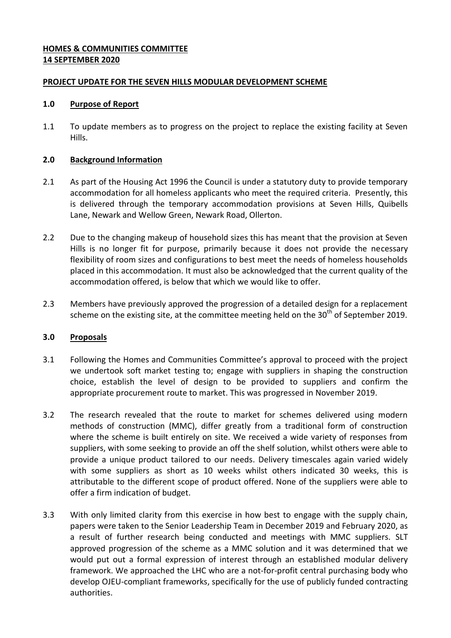#### **HOMES & COMMUNITIES COMMITTEE 14 SEPTEMBER 2020**

#### **PROJECT UPDATE FOR THE SEVEN HILLS MODULAR DEVELOPMENT SCHEME**

#### **1.0 Purpose of Report**

1.1 To update members as to progress on the project to replace the existing facility at Seven Hills.

#### **2.0 Background Information**

- 2.1 As part of the Housing Act 1996 the Council is under a statutory duty to provide temporary accommodation for all homeless applicants who meet the required criteria. Presently, this is delivered through the temporary accommodation provisions at Seven Hills, Quibells Lane, Newark and Wellow Green, Newark Road, Ollerton.
- 2.2 Due to the changing makeup of household sizes this has meant that the provision at Seven Hills is no longer fit for purpose, primarily because it does not provide the necessary flexibility of room sizes and configurations to best meet the needs of homeless households placed in this accommodation. It must also be acknowledged that the current quality of the accommodation offered, is below that which we would like to offer.
- 2.3 Members have previously approved the progression of a detailed design for a replacement scheme on the existing site, at the committee meeting held on the 30<sup>th</sup> of September 2019.

## **3.0 Proposals**

- 3.1 Following the Homes and Communities Committee's approval to proceed with the project we undertook soft market testing to; engage with suppliers in shaping the construction choice, establish the level of design to be provided to suppliers and confirm the appropriate procurement route to market. This was progressed in November 2019.
- 3.2 The research revealed that the route to market for schemes delivered using modern methods of construction (MMC), differ greatly from a traditional form of construction where the scheme is built entirely on site. We received a wide variety of responses from suppliers, with some seeking to provide an off the shelf solution, whilst others were able to provide a unique product tailored to our needs. Delivery timescales again varied widely with some suppliers as short as 10 weeks whilst others indicated 30 weeks, this is attributable to the different scope of product offered. None of the suppliers were able to offer a firm indication of budget.
- 3.3 With only limited clarity from this exercise in how best to engage with the supply chain, papers were taken to the Senior Leadership Team in December 2019 and February 2020, as a result of further research being conducted and meetings with MMC suppliers. SLT approved progression of the scheme as a MMC solution and it was determined that we would put out a formal expression of interest through an established modular delivery framework. We approached the LHC who are a not-for-profit central purchasing body who develop OJEU-compliant frameworks, specifically for the use of publicly funded contracting authorities.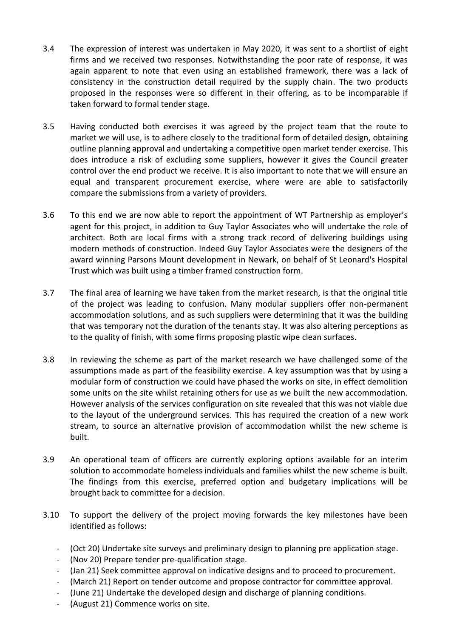- 3.4 The expression of interest was undertaken in May 2020, it was sent to a shortlist of eight firms and we received two responses. Notwithstanding the poor rate of response, it was again apparent to note that even using an established framework, there was a lack of consistency in the construction detail required by the supply chain. The two products proposed in the responses were so different in their offering, as to be incomparable if taken forward to formal tender stage.
- 3.5 Having conducted both exercises it was agreed by the project team that the route to market we will use, is to adhere closely to the traditional form of detailed design, obtaining outline planning approval and undertaking a competitive open market tender exercise. This does introduce a risk of excluding some suppliers, however it gives the Council greater control over the end product we receive. It is also important to note that we will ensure an equal and transparent procurement exercise, where were are able to satisfactorily compare the submissions from a variety of providers.
- 3.6 To this end we are now able to report the appointment of WT Partnership as employer's agent for this project, in addition to Guy Taylor Associates who will undertake the role of architect. Both are local firms with a strong track record of delivering buildings using modern methods of construction. Indeed Guy Taylor Associates were the designers of the award winning Parsons Mount development in Newark, on behalf of St Leonard's Hospital Trust which was built using a timber framed construction form.
- 3.7 The final area of learning we have taken from the market research, is that the original title of the project was leading to confusion. Many modular suppliers offer non-permanent accommodation solutions, and as such suppliers were determining that it was the building that was temporary not the duration of the tenants stay. It was also altering perceptions as to the quality of finish, with some firms proposing plastic wipe clean surfaces.
- 3.8 In reviewing the scheme as part of the market research we have challenged some of the assumptions made as part of the feasibility exercise. A key assumption was that by using a modular form of construction we could have phased the works on site, in effect demolition some units on the site whilst retaining others for use as we built the new accommodation. However analysis of the services configuration on site revealed that this was not viable due to the layout of the underground services. This has required the creation of a new work stream, to source an alternative provision of accommodation whilst the new scheme is built.
- 3.9 An operational team of officers are currently exploring options available for an interim solution to accommodate homeless individuals and families whilst the new scheme is built. The findings from this exercise, preferred option and budgetary implications will be brought back to committee for a decision.
- 3.10 To support the delivery of the project moving forwards the key milestones have been identified as follows:
	- (Oct 20) Undertake site surveys and preliminary design to planning pre application stage.
	- (Nov 20) Prepare tender pre-qualification stage.
	- (Jan 21) Seek committee approval on indicative designs and to proceed to procurement.
	- (March 21) Report on tender outcome and propose contractor for committee approval.
	- (June 21) Undertake the developed design and discharge of planning conditions.
	- (August 21) Commence works on site.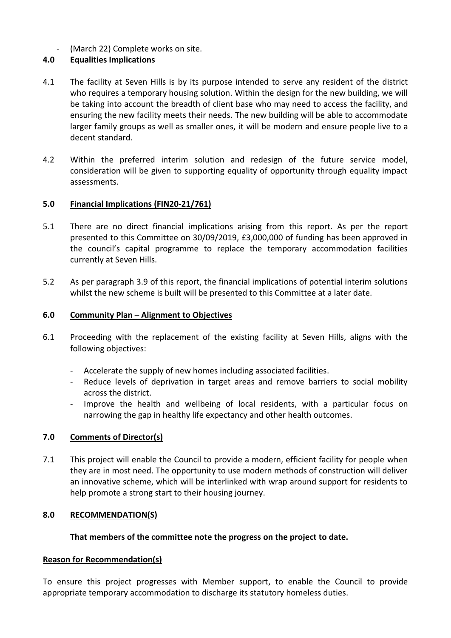(March 22) Complete works on site.

# **4.0 Equalities Implications**

- 4.1 The facility at Seven Hills is by its purpose intended to serve any resident of the district who requires a temporary housing solution. Within the design for the new building, we will be taking into account the breadth of client base who may need to access the facility, and ensuring the new facility meets their needs. The new building will be able to accommodate larger family groups as well as smaller ones, it will be modern and ensure people live to a decent standard.
- 4.2 Within the preferred interim solution and redesign of the future service model, consideration will be given to supporting equality of opportunity through equality impact assessments.

## **5.0 Financial Implications (FIN20-21/761)**

- 5.1 There are no direct financial implications arising from this report. As per the report presented to this Committee on 30/09/2019, £3,000,000 of funding has been approved in the council's capital programme to replace the temporary accommodation facilities currently at Seven Hills.
- 5.2 As per paragraph 3.9 of this report, the financial implications of potential interim solutions whilst the new scheme is built will be presented to this Committee at a later date.

#### **6.0 Community Plan – Alignment to Objectives**

- 6.1 Proceeding with the replacement of the existing facility at Seven Hills, aligns with the following objectives:
	- Accelerate the supply of new homes including associated facilities.
	- Reduce levels of deprivation in target areas and remove barriers to social mobility across the district.
	- Improve the health and wellbeing of local residents, with a particular focus on narrowing the gap in healthy life expectancy and other health outcomes.

## **7.0 Comments of Director(s)**

7.1 This project will enable the Council to provide a modern, efficient facility for people when they are in most need. The opportunity to use modern methods of construction will deliver an innovative scheme, which will be interlinked with wrap around support for residents to help promote a strong start to their housing journey.

## **8.0 RECOMMENDATION(S)**

## **That members of the committee note the progress on the project to date.**

#### **Reason for Recommendation(s)**

To ensure this project progresses with Member support, to enable the Council to provide appropriate temporary accommodation to discharge its statutory homeless duties.